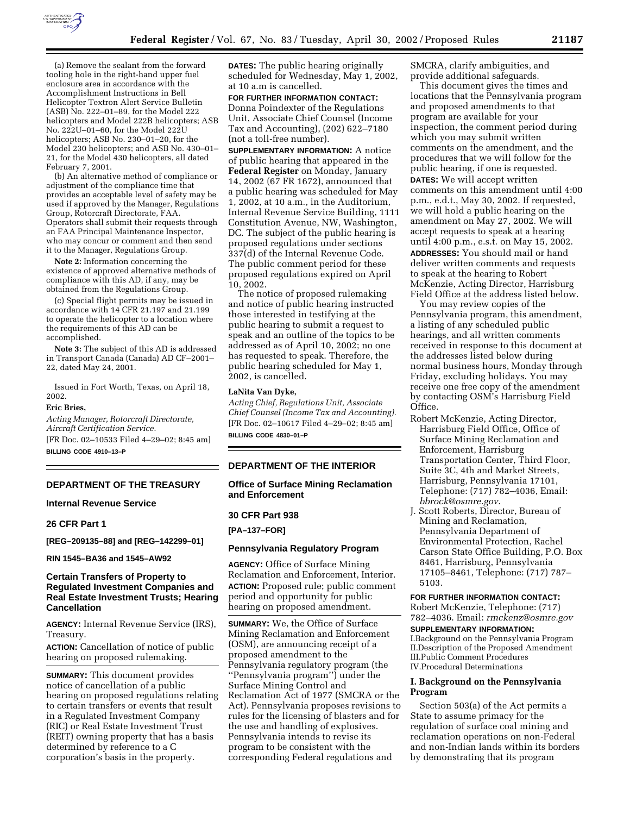

(a) Remove the sealant from the forward tooling hole in the right-hand upper fuel enclosure area in accordance with the Accomplishment Instructions in Bell Helicopter Textron Alert Service Bulletin (ASB) No. 222–01–89, for the Model 222 helicopters and Model 222B helicopters; ASB No. 222U–01–60, for the Model 222U helicopters; ASB No. 230–01–20, for the Model 230 helicopters; and ASB No. 430–01– 21, for the Model 430 helicopters, all dated February 7, 2001.

(b) An alternative method of compliance or adjustment of the compliance time that provides an acceptable level of safety may be used if approved by the Manager, Regulations Group, Rotorcraft Directorate, FAA. Operators shall submit their requests through an FAA Principal Maintenance Inspector, who may concur or comment and then send it to the Manager, Regulations Group.

**Note 2:** Information concerning the existence of approved alternative methods of compliance with this AD, if any, may be obtained from the Regulations Group.

(c) Special flight permits may be issued in accordance with 14 CFR 21.197 and 21.199 to operate the helicopter to a location where the requirements of this AD can be accomplished.

**Note 3:** The subject of this AD is addressed in Transport Canada (Canada) AD CF–2001– 22, dated May 24, 2001.

Issued in Fort Worth, Texas, on April 18, 2002.

# **Eric Bries,**

*Acting Manager, Rotorcraft Directorate, Aircraft Certification Service.* [FR Doc. 02–10533 Filed 4–29–02; 8:45 am]

**BILLING CODE 4910–13–P**

#### **DEPARTMENT OF THE TREASURY**

# **Internal Revenue Service**

### **26 CFR Part 1**

**[REG–209135–88] and [REG–142299–01]**

**RIN 1545–BA36 and 1545–AW92**

# **Certain Transfers of Property to Regulated Investment Companies and Real Estate Investment Trusts; Hearing Cancellation**

**AGENCY:** Internal Revenue Service (IRS), Treasury.

**ACTION:** Cancellation of notice of public hearing on proposed rulemaking.

**SUMMARY:** This document provides notice of cancellation of a public hearing on proposed regulations relating to certain transfers or events that result in a Regulated Investment Company (RIC) or Real Estate Investment Trust (REIT) owning property that has a basis determined by reference to a C corporation's basis in the property.

**DATES:** The public hearing originally scheduled for Wednesday, May 1, 2002, at 10 a.m is cancelled.

# **FOR FURTHER INFORMATION CONTACT:** Donna Poindexter of the Regulations

Unit, Associate Chief Counsel (Income Tax and Accounting), (202) 622–7180 (not a toll-free number).

**SUPPLEMENTARY INFORMATION:** A notice of public hearing that appeared in the **Federal Register** on Monday, January 14, 2002 (67 FR 1672), announced that a public hearing was scheduled for May 1, 2002, at 10 a.m., in the Auditorium, Internal Revenue Service Building, 1111 Constitution Avenue, NW, Washington, DC. The subject of the public hearing is proposed regulations under sections 337(d) of the Internal Revenue Code. The public comment period for these proposed regulations expired on April 10, 2002.

The notice of proposed rulemaking and notice of public hearing instructed those interested in testifying at the public hearing to submit a request to speak and an outline of the topics to be addressed as of April 10, 2002; no one has requested to speak. Therefore, the public hearing scheduled for May 1, 2002, is cancelled.

#### **LaNita Van Dyke,**

*Acting Chief, Regulations Unit, Associate Chief Counsel (Income Tax and Accounting).* [FR Doc. 02–10617 Filed 4–29–02; 8:45 am] **BILLING CODE 4830–01–P**

**DEPARTMENT OF THE INTERIOR**

# **Office of Surface Mining Reclamation and Enforcement**

#### **30 CFR Part 938**

**[PA–137–FOR]**

# **Pennsylvania Regulatory Program**

**AGENCY:** Office of Surface Mining Reclamation and Enforcement, Interior. **ACTION:** Proposed rule; public comment period and opportunity for public hearing on proposed amendment.

**SUMMARY:** We, the Office of Surface Mining Reclamation and Enforcement (OSM), are announcing receipt of a proposed amendment to the Pennsylvania regulatory program (the ''Pennsylvania program'') under the Surface Mining Control and Reclamation Act of 1977 (SMCRA or the Act). Pennsylvania proposes revisions to rules for the licensing of blasters and for the use and handling of explosives. Pennsylvania intends to revise its program to be consistent with the corresponding Federal regulations and

SMCRA, clarify ambiguities, and provide additional safeguards.

This document gives the times and locations that the Pennsylvania program and proposed amendments to that program are available for your inspection, the comment period during which you may submit written comments on the amendment, and the procedures that we will follow for the public hearing, if one is requested. **DATES:** We will accept written comments on this amendment until 4:00 p.m., e.d.t., May 30, 2002. If requested, we will hold a public hearing on the amendment on May 27, 2002. We will accept requests to speak at a hearing until 4:00 p.m., e.s.t. on May 15, 2002. **ADDRESSES:** You should mail or hand deliver written comments and requests to speak at the hearing to Robert McKenzie, Acting Director, Harrisburg Field Office at the address listed below.

You may review copies of the Pennsylvania program, this amendment, a listing of any scheduled public hearings, and all written comments received in response to this document at the addresses listed below during normal business hours, Monday through Friday, excluding holidays. You may receive one free copy of the amendment by contacting OSM's Harrisburg Field Office.

- Robert McKenzie, Acting Director, Harrisburg Field Office, Office of Surface Mining Reclamation and Enforcement, Harrisburg Transportation Center, Third Floor, Suite 3C, 4th and Market Streets, Harrisburg, Pennsylvania 17101, Telephone: (717) 782–4036, Email: *bbrock@osmre.gov*.
- J. Scott Roberts, Director, Bureau of Mining and Reclamation, Pennsylvania Department of Environmental Protection, Rachel Carson State Office Building, P.O. Box 8461, Harrisburg, Pennsylvania 17105–8461, Telephone: (717) 787– 5103.

#### **FOR FURTHER INFORMATION CONTACT:**

Robert McKenzie, Telephone: (717) 782–4036. Email: *rmckenz@osmre.gov*

#### **SUPPLEMENTARY INFORMATION:**

I.Background on the Pennsylvania Program II.Description of the Proposed Amendment III.Public Comment Procedures IV.Procedural Determinations

# **I. Background on the Pennsylvania Program**

Section 503(a) of the Act permits a State to assume primacy for the regulation of surface coal mining and reclamation operations on non-Federal and non-Indian lands within its borders by demonstrating that its program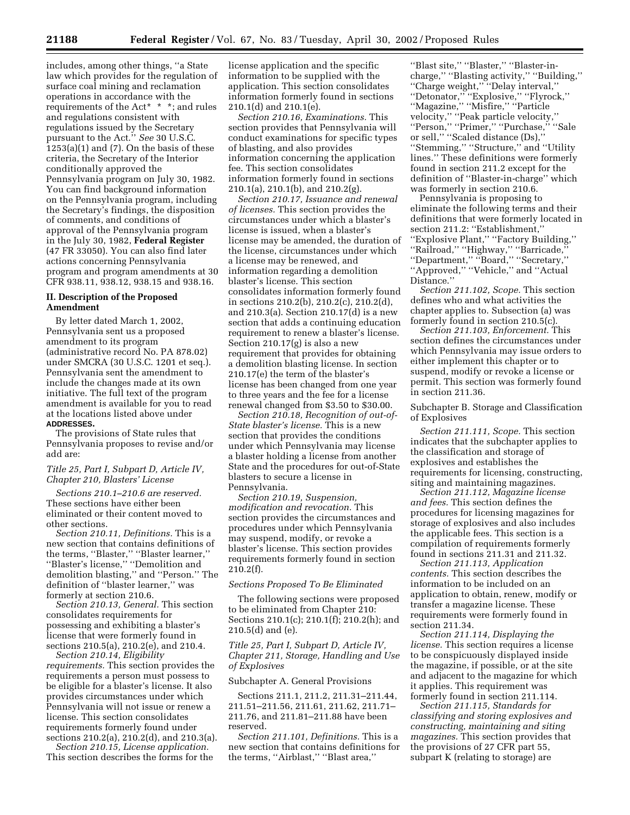includes, among other things, ''a State law which provides for the regulation of surface coal mining and reclamation operations in accordance with the requirements of the Act\* \* \*; and rules and regulations consistent with regulations issued by the Secretary pursuant to the Act.'' *See* 30 U.S.C.  $1253(a)(1)$  and  $(7)$ . On the basis of these criteria, the Secretary of the Interior conditionally approved the Pennsylvania program on July 30, 1982. You can find background information on the Pennsylvania program, including the Secretary's findings, the disposition of comments, and conditions of approval of the Pennsylvania program in the July 30, 1982, **Federal Register** (47 FR 33050). You can also find later actions concerning Pennsylvania program and program amendments at 30 CFR 938.11, 938.12, 938.15 and 938.16.

### **II. Description of the Proposed Amendment**

By letter dated March 1, 2002, Pennsylvania sent us a proposed amendment to its program (administrative record No. PA 878.02) under SMCRA (30 U.S.C. 1201 et seq.). Pennsylvania sent the amendment to include the changes made at its own initiative. The full text of the program amendment is available for you to read at the locations listed above under **ADDRESSES.**

The provisions of State rules that Pennsylvania proposes to revise and/or add are:

## *Title 25, Part I, Subpart D, Article IV, Chapter 210, Blasters' License*

*Sections 210.1–210.6 are reserved.* These sections have either been eliminated or their content moved to other sections.

*Section 210.11, Definitions.* This is a new section that contains definitions of the terms, ''Blaster,'' ''Blaster learner,'' ''Blaster's license,'' ''Demolition and demolition blasting,'' and ''Person.'' The definition of ''blaster learner,'' was formerly at section 210.6.

*Section 210.13, General.* This section consolidates requirements for possessing and exhibiting a blaster's license that were formerly found in sections 210.5(a), 210.2(e), and 210.4.

*Section 210.14, Eligibility requirements.* This section provides the requirements a person must possess to be eligible for a blaster's license. It also provides circumstances under which Pennsylvania will not issue or renew a license. This section consolidates requirements formerly found under sections 210.2(a), 210.2(d), and 210.3(a).

*Section 210.15, License application.* This section describes the forms for the

license application and the specific information to be supplied with the application. This section consolidates information formerly found in sections 210.1(d) and 210.1(e).

*Section 210.16, Examinations.* This section provides that Pennsylvania will conduct examinations for specific types of blasting, and also provides information concerning the application fee. This section consolidates information formerly found in sections 210.1(a), 210.1(b), and 210.2(g).

*Section 210.17, Issuance and renewal of licenses.* This section provides the circumstances under which a blaster's license is issued, when a blaster's license may be amended, the duration of the license, circumstances under which a license may be renewed, and information regarding a demolition blaster's license. This section consolidates information formerly found in sections 210.2(b), 210.2(c), 210.2(d), and 210.3(a). Section 210.17(d) is a new section that adds a continuing education requirement to renew a blaster's license. Section 210.17(g) is also a new requirement that provides for obtaining a demolition blasting license. In section 210.17(e) the term of the blaster's license has been changed from one year to three years and the fee for a license renewal changed from \$3.50 to \$30.00.

*Section 210.18, Recognition of out-of-State blaster's license.* This is a new section that provides the conditions under which Pennsylvania may license a blaster holding a license from another State and the procedures for out-of-State blasters to secure a license in Pennsylvania.

*Section 210.19, Suspension, modification and revocation.* This section provides the circumstances and procedures under which Pennsylvania may suspend, modify, or revoke a blaster's license. This section provides requirements formerly found in section 210.2(f).

# *Sections Proposed To Be Eliminated*

The following sections were proposed to be eliminated from Chapter 210: Sections 210.1(c); 210.1(f); 210.2(h); and 210.5(d) and (e).

*Title 25, Part I, Subpart D, Article IV, Chapter 211, Storage, Handling and Use of Explosives* 

### Subchapter A. General Provisions

Sections 211.1, 211.2, 211.31–211.44, 211.51–211.56, 211.61, 211.62, 211.71– 211.76, and 211.81–211.88 have been reserved.

*Section 211.101, Definitions.* This is a new section that contains definitions for the terms, "Airblast," "Blast area,"

''Blast site,'' ''Blaster,'' ''Blaster-incharge,'' ''Blasting activity,'' ''Building,'' ''Charge weight,'' ''Delay interval,'' ''Detonator,'' ''Explosive,'' ''Flyrock,'' ''Magazine,'' ''Misfire,'' ''Particle velocity,'' ''Peak particle velocity,'' ''Person,'' ''Primer,'' ''Purchase,'' ''Sale or sell,'' ''Scaled distance (Ds),'' ''Stemming,'' ''Structure,'' and ''Utility lines.'' These definitions were formerly found in section 211.2 except for the definition of ''Blaster-in-charge'' which was formerly in section 210.6.

Pennsylvania is proposing to eliminate the following terms and their definitions that were formerly located in section 211.2: ''Establishment,'' ''Explosive Plant,'' ''Factory Building,'' ''Railroad,'' ''Highway,'' ''Barricade,'' ''Department,'' ''Board,'' ''Secretary,'' ''Approved,'' ''Vehicle,'' and ''Actual Distance.''

*Section 211.102, Scope.* This section defines who and what activities the chapter applies to. Subsection (a) was formerly found in section 210.5(c).

*Section 211.103, Enforcement.* This section defines the circumstances under which Pennsylvania may issue orders to either implement this chapter or to suspend, modify or revoke a license or permit. This section was formerly found in section 211.36.

Subchapter B. Storage and Classification of Explosives

*Section 211.111, Scope.* This section indicates that the subchapter applies to the classification and storage of explosives and establishes the requirements for licensing, constructing, siting and maintaining magazines.

*Section 211.112, Magazine license and fees.* This section defines the procedures for licensing magazines for storage of explosives and also includes the applicable fees. This section is a compilation of requirements formerly found in sections 211.31 and 211.32.

*Section 211.113, Application contents.* This section describes the information to be included on an application to obtain, renew, modify or transfer a magazine license. These requirements were formerly found in section 211.34.

*Section 211.114, Displaying the license.* This section requires a license to be conspicuously displayed inside the magazine, if possible, or at the site and adjacent to the magazine for which it applies. This requirement was formerly found in section 211.114.

*Section 211.115, Standards for classifying and storing explosives and constructing, maintaining and siting magazines.* This section provides that the provisions of 27 CFR part 55, subpart K (relating to storage) are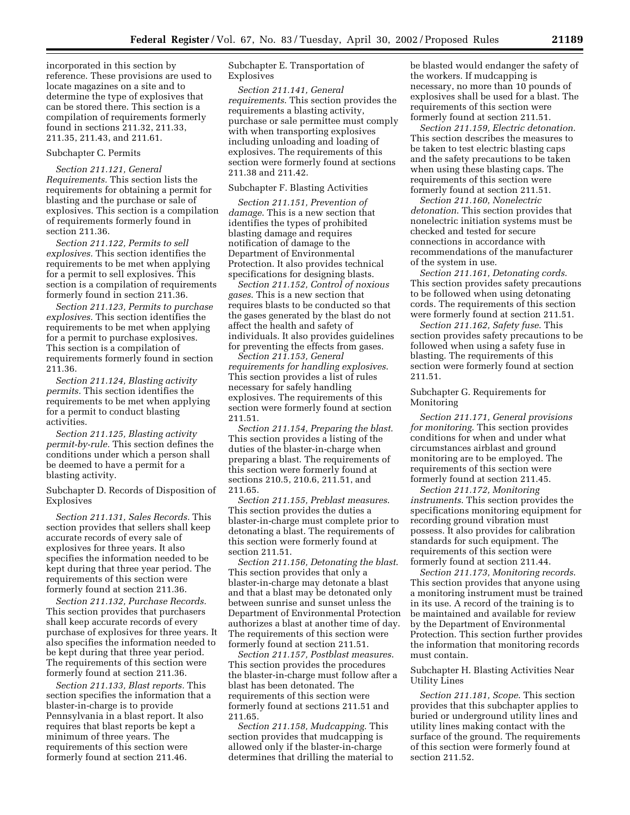incorporated in this section by reference. These provisions are used to locate magazines on a site and to determine the type of explosives that can be stored there. This section is a compilation of requirements formerly found in sections 211.32, 211.33, 211.35, 211.43, and 211.61.

## Subchapter C. Permits

*Section 211.121, General Requirements.* This section lists the requirements for obtaining a permit for blasting and the purchase or sale of explosives. This section is a compilation of requirements formerly found in section 211.36.

*Section 211.122, Permits to sell explosives.* This section identifies the requirements to be met when applying for a permit to sell explosives. This section is a compilation of requirements formerly found in section 211.36.

*Section 211.123, Permits to purchase explosives.* This section identifies the requirements to be met when applying for a permit to purchase explosives. This section is a compilation of requirements formerly found in section 211.36.

*Section 211.124, Blasting activity permits.* This section identifies the requirements to be met when applying for a permit to conduct blasting activities.

*Section 211.125, Blasting activity permit-by-rule.* This section defines the conditions under which a person shall be deemed to have a permit for a blasting activity.

Subchapter D. Records of Disposition of Explosives

*Section 211.131, Sales Records.* This section provides that sellers shall keep accurate records of every sale of explosives for three years. It also specifies the information needed to be kept during that three year period. The requirements of this section were formerly found at section 211.36.

*Section 211.132, Purchase Records.* This section provides that purchasers shall keep accurate records of every purchase of explosives for three years. It also specifies the information needed to be kept during that three year period. The requirements of this section were formerly found at section 211.36.

*Section 211.133, Blast reports.* This section specifies the information that a blaster-in-charge is to provide Pennsylvania in a blast report. It also requires that blast reports be kept a minimum of three years. The requirements of this section were formerly found at section 211.46.

Subchapter E. Transportation of Explosives

*Section 211.141, General requirements*. This section provides the requirements a blasting activity, purchase or sale permittee must comply with when transporting explosives including unloading and loading of explosives. The requirements of this section were formerly found at sections 211.38 and 211.42.

#### Subchapter F. Blasting Activities

*Section 211.151, Prevention of damage*. This is a new section that identifies the types of prohibited blasting damage and requires notification of damage to the Department of Environmental Protection. It also provides technical specifications for designing blasts.

*Section 211.152, Control of noxious gases*. This is a new section that requires blasts to be conducted so that the gases generated by the blast do not affect the health and safety of individuals. It also provides guidelines for preventing the effects from gases.

*Section 211.153, General requirements for handling explosives*. This section provides a list of rules necessary for safely handling explosives. The requirements of this section were formerly found at section 211.51.

*Section 211.154, Preparing the blast*. This section provides a listing of the duties of the blaster-in-charge when preparing a blast. The requirements of this section were formerly found at sections 210.5, 210.6, 211.51, and 211.65.

*Section 211.155, Preblast measures*. This section provides the duties a blaster-in-charge must complete prior to detonating a blast. The requirements of this section were formerly found at section 211.51.

*Section 211.156, Detonating the blast*. This section provides that only a blaster-in-charge may detonate a blast and that a blast may be detonated only between sunrise and sunset unless the Department of Environmental Protection authorizes a blast at another time of day. The requirements of this section were formerly found at section 211.51.

*Section 211.157, Postblast measures*. This section provides the procedures the blaster-in-charge must follow after a blast has been detonated. The requirements of this section were formerly found at sections 211.51 and 211.65.

*Section 211.158, Mudcapping*. This section provides that mudcapping is allowed only if the blaster-in-charge determines that drilling the material to be blasted would endanger the safety of the workers. If mudcapping is necessary, no more than 10 pounds of explosives shall be used for a blast. The requirements of this section were formerly found at section 211.51.

*Section 211.159, Electric detonation*. This section describes the measures to be taken to test electric blasting caps and the safety precautions to be taken when using these blasting caps. The requirements of this section were formerly found at section 211.51.

*Section 211.160, Nonelectric detonation*. This section provides that nonelectric initiation systems must be checked and tested for secure connections in accordance with recommendations of the manufacturer of the system in use.

*Section 211.161, Detonating cords*. This section provides safety precautions to be followed when using detonating cords. The requirements of this section were formerly found at section 211.51.

*Section 211.162, Safety fuse*. This section provides safety precautions to be followed when using a safety fuse in blasting. The requirements of this section were formerly found at section 211.51.

Subchapter G. Requirements for Monitoring

*Section 211.171, General provisions for monitoring*. This section provides conditions for when and under what circumstances airblast and ground monitoring are to be employed. The requirements of this section were formerly found at section 211.45.

*Section 211.172, Monitoring instruments*. This section provides the specifications monitoring equipment for recording ground vibration must possess. It also provides for calibration standards for such equipment. The requirements of this section were formerly found at section 211.44.

*Section 211.173, Monitoring records*. This section provides that anyone using a monitoring instrument must be trained in its use. A record of the training is to be maintained and available for review by the Department of Environmental Protection. This section further provides the information that monitoring records must contain.

### Subchapter H. Blasting Activities Near Utility Lines

*Section 211.181, Scope*. This section provides that this subchapter applies to buried or underground utility lines and utility lines making contact with the surface of the ground. The requirements of this section were formerly found at section 211.52.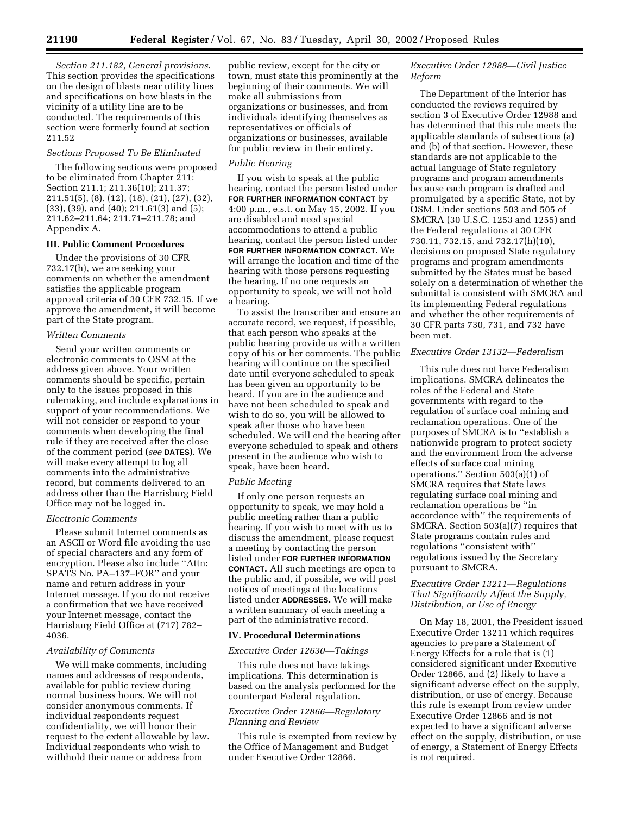*Section 211.182, General provisions*. This section provides the specifications on the design of blasts near utility lines and specifications on how blasts in the vicinity of a utility line are to be conducted. The requirements of this section were formerly found at section 211.52

# *Sections Proposed To Be Eliminated*

The following sections were proposed to be eliminated from Chapter 211: Section 211.1; 211.36(10); 211.37; 211.51(5), (8), (12), (18), (21), (27), (32), (33), (39), and (40); 211.61(3) and (5); 211.62–211.64; 211.71–211.78; and Appendix A.

# **III. Public Comment Procedures**

Under the provisions of 30 CFR 732.17(h), we are seeking your comments on whether the amendment satisfies the applicable program approval criteria of 30 CFR 732.15. If we approve the amendment, it will become part of the State program.

## *Written Comments*

Send your written comments or electronic comments to OSM at the address given above. Your written comments should be specific, pertain only to the issues proposed in this rulemaking, and include explanations in support of your recommendations. We will not consider or respond to your comments when developing the final rule if they are received after the close of the comment period (*see* **DATES**). We will make every attempt to log all comments into the administrative record, but comments delivered to an address other than the Harrisburg Field Office may not be logged in.

### *Electronic Comments*

Please submit Internet comments as an ASCII or Word file avoiding the use of special characters and any form of encryption. Please also include ''Attn: SPATS No. PA–137–FOR'' and your name and return address in your Internet message. If you do not receive a confirmation that we have received your Internet message, contact the Harrisburg Field Office at (717) 782– 4036.

# *Availability of Comments*

We will make comments, including names and addresses of respondents, available for public review during normal business hours. We will not consider anonymous comments. If individual respondents request confidentiality, we will honor their request to the extent allowable by law. Individual respondents who wish to withhold their name or address from

public review, except for the city or town, must state this prominently at the beginning of their comments. We will make all submissions from organizations or businesses, and from individuals identifying themselves as representatives or officials of organizations or businesses, available for public review in their entirety.

# *Public Hearing*

If you wish to speak at the public hearing, contact the person listed under **FOR FURTHER INFORMATION CONTACT** by 4:00 p.m., e.s.t. on May 15, 2002. If you are disabled and need special accommodations to attend a public hearing, contact the person listed under **FOR FURTHER INFORMATION CONTACT.** We will arrange the location and time of the hearing with those persons requesting the hearing. If no one requests an opportunity to speak, we will not hold a hearing.

To assist the transcriber and ensure an accurate record, we request, if possible, that each person who speaks at the public hearing provide us with a written copy of his or her comments. The public hearing will continue on the specified date until everyone scheduled to speak has been given an opportunity to be heard. If you are in the audience and have not been scheduled to speak and wish to do so, you will be allowed to speak after those who have been scheduled. We will end the hearing after everyone scheduled to speak and others present in the audience who wish to speak, have been heard.

#### *Public Meeting*

If only one person requests an opportunity to speak, we may hold a public meeting rather than a public hearing. If you wish to meet with us to discuss the amendment, please request a meeting by contacting the person listed under **FOR FURTHER INFORMATION CONTACT.** All such meetings are open to the public and, if possible, we will post notices of meetings at the locations listed under **ADDRESSES.** We will make a written summary of each meeting a part of the administrative record.

#### **IV. Procedural Determinations**

#### *Executive Order 12630—Takings*

This rule does not have takings implications. This determination is based on the analysis performed for the counterpart Federal regulation.

# *Executive Order 12866—Regulatory Planning and Review*

This rule is exempted from review by the Office of Management and Budget under Executive Order 12866.

# *Executive Order 12988—Civil Justice Reform*

The Department of the Interior has conducted the reviews required by section 3 of Executive Order 12988 and has determined that this rule meets the applicable standards of subsections (a) and (b) of that section. However, these standards are not applicable to the actual language of State regulatory programs and program amendments because each program is drafted and promulgated by a specific State, not by OSM. Under sections 503 and 505 of SMCRA (30 U.S.C. 1253 and 1255) and the Federal regulations at 30 CFR 730.11, 732.15, and 732.17(h)(10), decisions on proposed State regulatory programs and program amendments submitted by the States must be based solely on a determination of whether the submittal is consistent with SMCRA and its implementing Federal regulations and whether the other requirements of 30 CFR parts 730, 731, and 732 have been met.

# *Executive Order 13132—Federalism*

This rule does not have Federalism implications. SMCRA delineates the roles of the Federal and State governments with regard to the regulation of surface coal mining and reclamation operations. One of the purposes of SMCRA is to ''establish a nationwide program to protect society and the environment from the adverse effects of surface coal mining operations.'' Section 503(a)(1) of SMCRA requires that State laws regulating surface coal mining and reclamation operations be ''in accordance with'' the requirements of SMCRA. Section 503(a)(7) requires that State programs contain rules and regulations ''consistent with'' regulations issued by the Secretary pursuant to SMCRA.

# *Executive Order 13211—Regulations That Significantly Affect the Supply, Distribution, or Use of Energy*

On May 18, 2001, the President issued Executive Order 13211 which requires agencies to prepare a Statement of Energy Effects for a rule that is (1) considered significant under Executive Order 12866, and (2) likely to have a significant adverse effect on the supply, distribution, or use of energy. Because this rule is exempt from review under Executive Order 12866 and is not expected to have a significant adverse effect on the supply, distribution, or use of energy, a Statement of Energy Effects is not required.